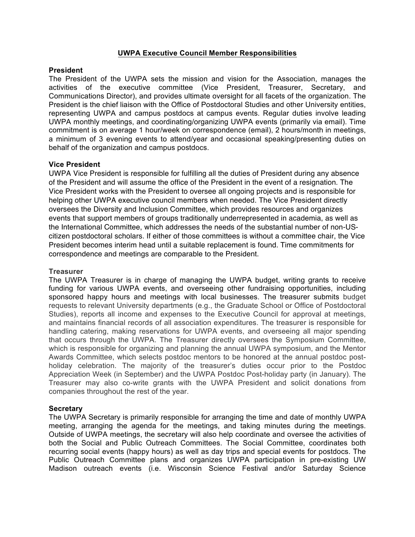# **UWPA Executive Council Member Responsibilities**

### **President**

The President of the UWPA sets the mission and vision for the Association, manages the activities of the executive committee (Vice President, Treasurer, Secretary, and Communications Director), and provides ultimate oversight for all facets of the organization. The President is the chief liaison with the Office of Postdoctoral Studies and other University entities, representing UWPA and campus postdocs at campus events. Regular duties involve leading UWPA monthly meetings, and coordinating/organizing UWPA events (primarily via email). Time commitment is on average 1 hour/week on correspondence (email), 2 hours/month in meetings, a minimum of 3 evening events to attend/year and occasional speaking/presenting duties on behalf of the organization and campus postdocs.

# **Vice President**

UWPA Vice President is responsible for fulfilling all the duties of President during any absence of the President and will assume the office of the President in the event of a resignation. The Vice President works with the President to oversee all ongoing projects and is responsible for helping other UWPA executive council members when needed. The Vice President directly oversees the Diversity and Inclusion Committee, which provides resources and organizes events that support members of groups traditionally underrepresented in academia, as well as the International Committee, which addresses the needs of the substantial number of non-UScitizen postdoctoral scholars. If either of those committees is without a committee chair, the Vice President becomes interim head until a suitable replacement is found. Time commitments for correspondence and meetings are comparable to the President.

#### **Treasurer**

The UWPA Treasurer is in charge of managing the UWPA budget, writing grants to receive funding for various UWPA events, and overseeing other fundraising opportunities, including sponsored happy hours and meetings with local businesses. The treasurer submits budget requests to relevant University departments (e.g., the Graduate School or Office of Postdoctoral Studies), reports all income and expenses to the Executive Council for approval at meetings, and maintains financial records of all association expenditures. The treasurer is responsible for handling catering, making reservations for UWPA events, and overseeing all major spending that occurs through the UWPA. The Treasurer directly oversees the Symposium Committee, which is responsible for organizing and planning the annual UWPA symposium, and the Mentor Awards Committee, which selects postdoc mentors to be honored at the annual postdoc postholiday celebration. The majority of the treasurer's duties occur prior to the Postdoc Appreciation Week (in September) and the UWPA Postdoc Post-holiday party (in January). The Treasurer may also co-write grants with the UWPA President and solicit donations from companies throughout the rest of the year.

# **Secretary**

The UWPA Secretary is primarily responsible for arranging the time and date of monthly UWPA meeting, arranging the agenda for the meetings, and taking minutes during the meetings. Outside of UWPA meetings, the secretary will also help coordinate and oversee the activities of both the Social and Public Outreach Committees. The Social Committee, coordinates both recurring social events (happy hours) as well as day trips and special events for postdocs. The Public Outreach Committee plans and organizes UWPA participation in pre-existing UW Madison outreach events (i.e. Wisconsin Science Festival and/or Saturday Science